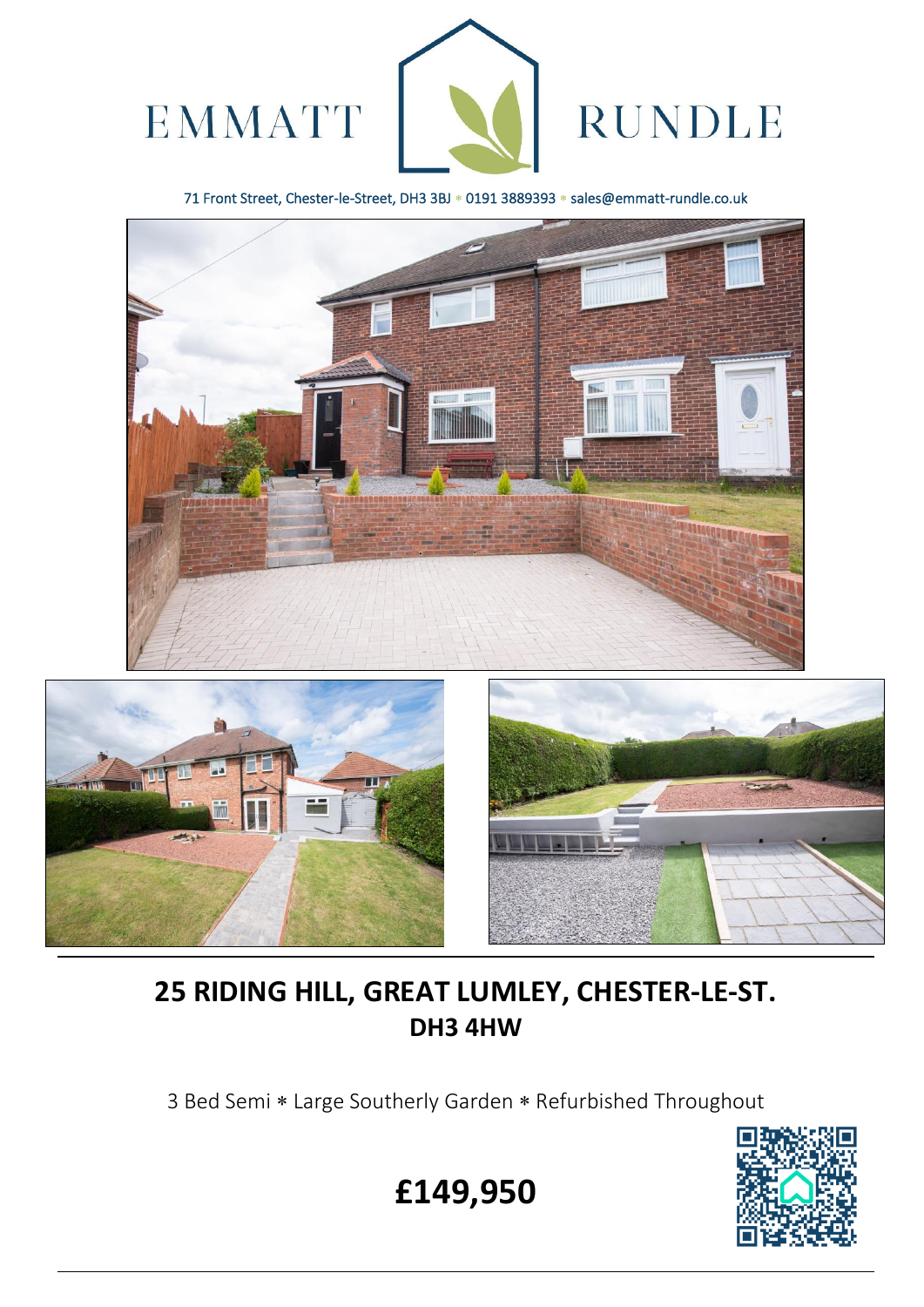

71 Front Street, Chester-le-Street, DH3 3BJ \* 0191 3889393 \* sales@emmatt-rundle.co.uk





 $\overline{a}$ 



# **25 RIDING HILL, GREAT LUMLEY, CHESTER-LE-ST. DH3 4HW**

3 Bed Semi \* Large Southerly Garden \* Refurbished Throughout



**£149,950**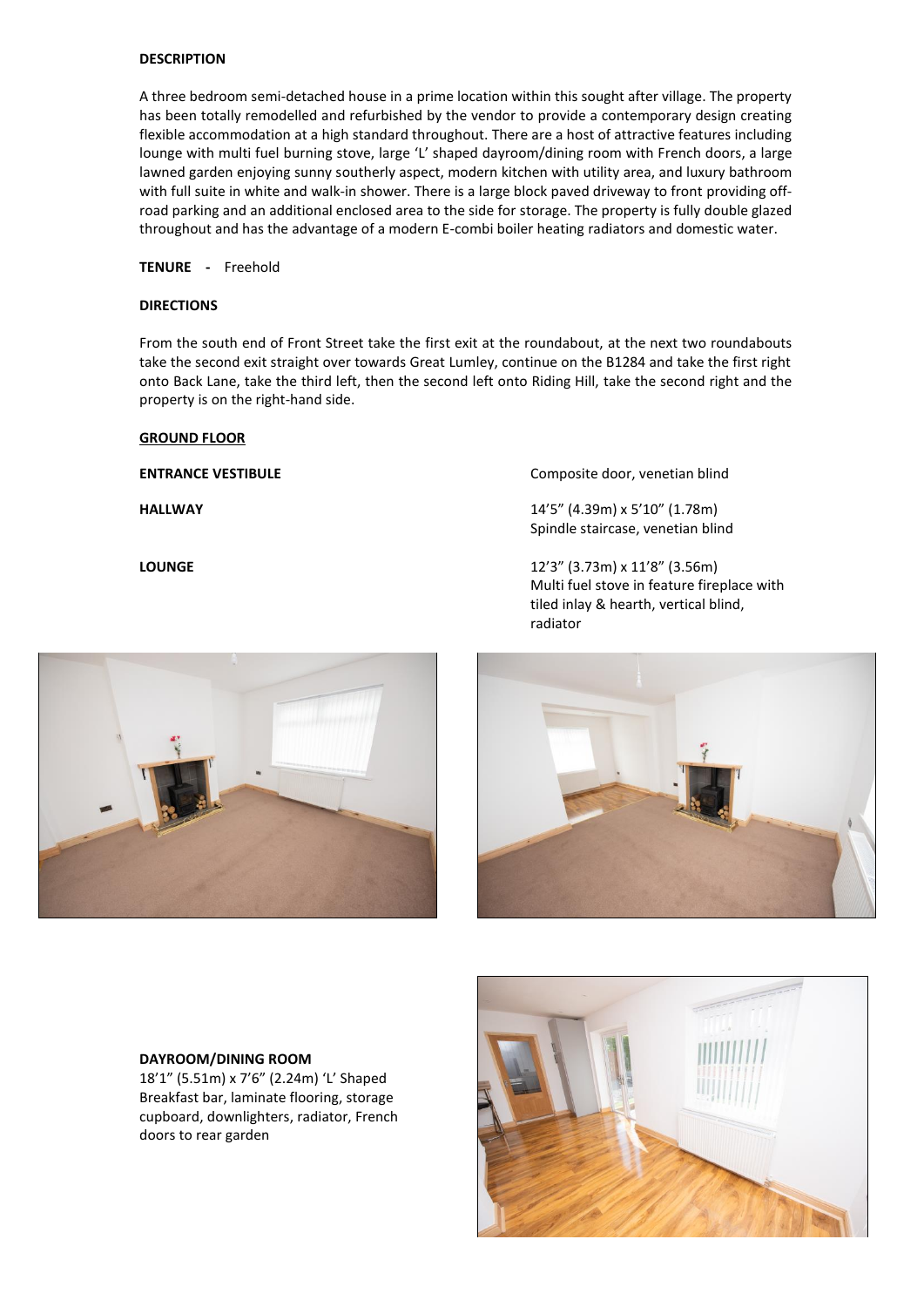## **DESCRIPTION**

A three bedroom semi-detached house in a prime location within this sought after village. The property has been totally remodelled and refurbished by the vendor to provide a contemporary design creating flexible accommodation at a high standard throughout. There are a host of attractive features including lounge with multi fuel burning stove, large 'L' shaped dayroom/dining room with French doors, a large lawned garden enjoying sunny southerly aspect, modern kitchen with utility area, and luxury bathroom with full suite in white and walk-in shower. There is a large block paved driveway to front providing offroad parking and an additional enclosed area to the side for storage. The property is fully double glazed throughout and has the advantage of a modern E-combi boiler heating radiators and domestic water.

**TENURE -** Freehold

#### **DIRECTIONS**

From the south end of Front Street take the first exit at the roundabout, at the next two roundabouts take the second exit straight over towards Great Lumley, continue on the B1284 and take the first right onto Back Lane, take the third left, then the second left onto Riding Hill, take the second right and the property is on the right-hand side.

#### **GROUND FLOOR**

**ENTRANCE VESTIBULE** Composite door, venetian blind

**HALLWAY** 14'5" (4.39m) x 5'10" (1.78m) Spindle staircase, venetian blind

**LOUNGE** 12'3" (3.73m) x 11'8" (3.56m) Multi fuel stove in feature fireplace with tiled inlay & hearth, vertical blind, radiator





#### **DAYROOM/DINING ROOM**

18'1" (5.51m) x 7'6" (2.24m) 'L' Shaped Breakfast bar, laminate flooring, storage cupboard, downlighters, radiator, French doors to rear garden

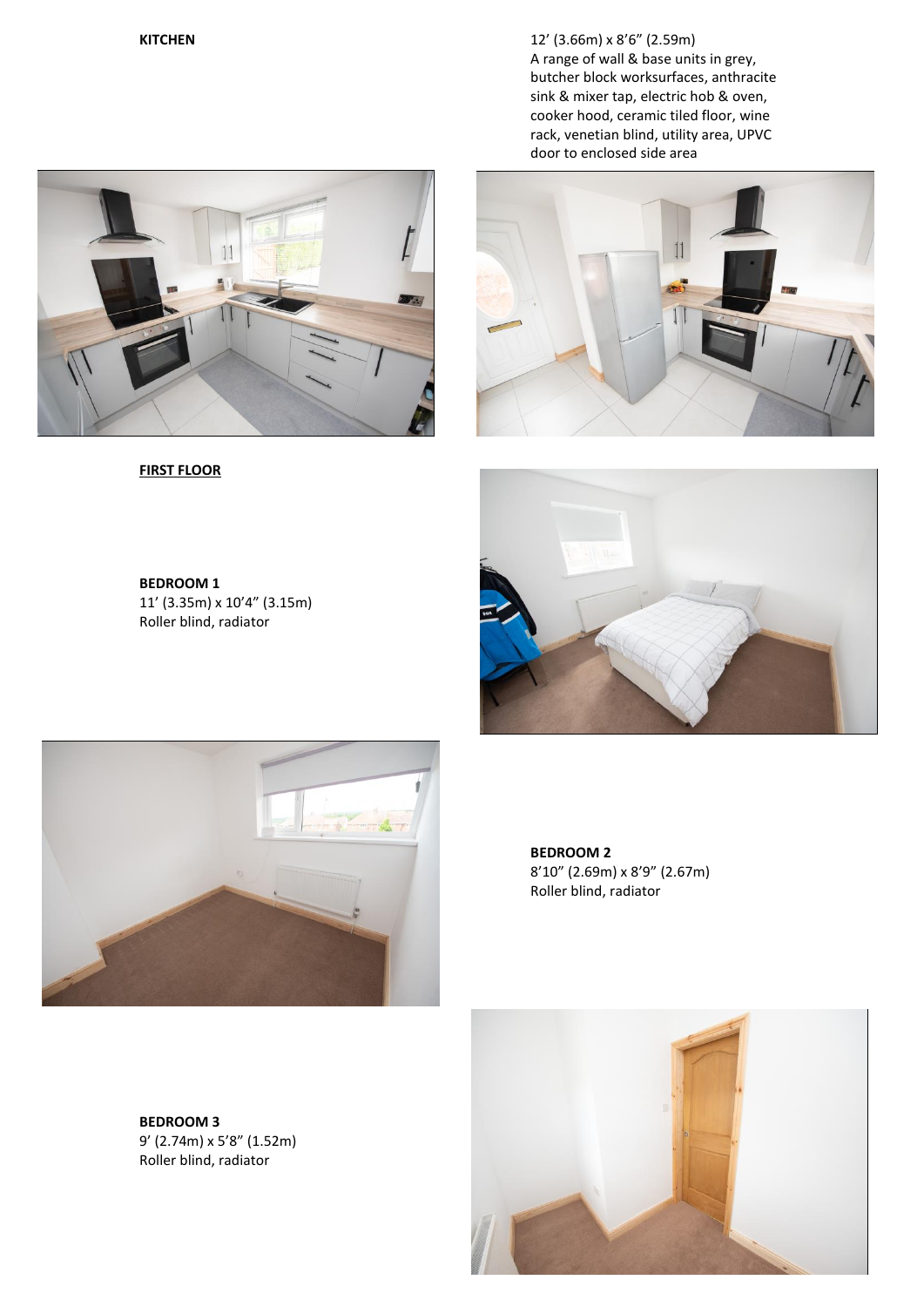**KITCHEN** 12' (3.66m) x 8'6" (2.59m) A range of wall & base units in grey, butcher block worksurfaces, anthracite sink & mixer tap, electric hob & oven, cooker hood, ceramic tiled floor, wine rack, venetian blind, utility area, UPVC door to enclosed side area





**FIRST FLOOR**

**BEDROOM 1** 11' (3.35m) x 10'4" (3.15m) Roller blind, radiator





**BEDROOM 2** 8'10" (2.69m) x 8'9" (2.67m) Roller blind, radiator

**BEDROOM 3** 9' (2.74m) x 5'8" (1.52m) Roller blind, radiator